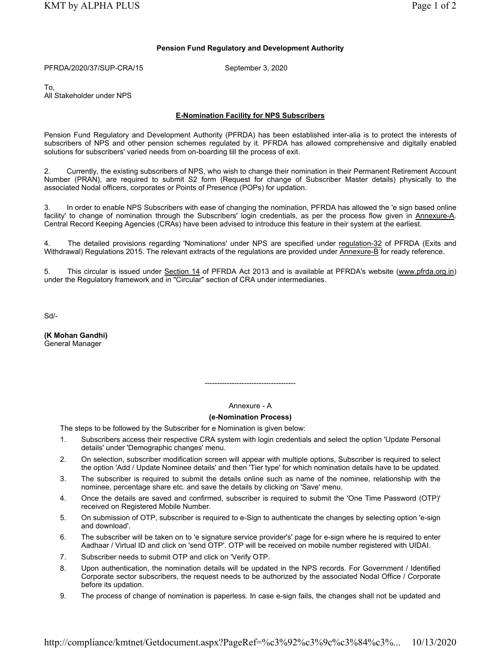## Pension Fund Regulatory and Development Authority

PFRDA/2020/37/SUP-CRA/15 September 3, 2020

To, All Stakeholder under NPS

## E-Nomination Facility for NPS Subscribers

Pension Fund Regulatory and Development Authority (PFRDA) has been established inter-alia is to protect the interests of subscribers of NPS and other pension schemes regulated by it. PFRDA has allowed comprehensive and digitally enabled solutions for subscribers' varied needs from on-boarding till the process of exit.

2. Currently, the existing subscribers of NPS, who wish to change their nomination in their Permanent Retirement Account Number (PRAN), are required to submit S2 form (Request for change of Subscriber Master details) physically to the associated Nodal officers, corporates or Points of Presence (POPs) for updation.

3. In order to enable NPS Subscribers with ease of changing the nomination, PFRDA has allowed the 'e sign based online facility' to change of nomination through the Subscribers' login credentials, as per the process flow given in Annexure-A. Central Record Keeping Agencies (CRAs) have been advised to introduce this feature in their system at the earliest.

4. The detailed provisions regarding 'Nominations' under NPS are specified under regulation-32 of PFRDA (Exits and Withdrawal) Regulations 2015. The relevant extracts of the regulations are provided under Annexure-B for ready reference.

5. This circular is issued under Section 14 of PFRDA Act 2013 and is available at PFRDA's website (www.pfrda.org.in) under the Regulatory framework and in "Circular" section of CRA under intermediaries.

Sd/-

(K Mohan Gandhi) General Manager

## Annexure - A

-------------------------------------

# (e-Nomination Process)

The steps to be followed by the Subscriber for e Nomination is given below:

- 1. Subscribers access their respective CRA system with login credentials and select the option 'Update Personal details' under 'Demographic changes' menu.
- 2. On selection, subscriber modification screen will appear with multiple options, Subscriber is required to select the option 'Add / Update Nominee details' and then 'Tier type' for which nomination details have to be updated.
- 3. The subscriber is required to submit the details online such as name of the nominee, relationship with the nominee, percentage share etc. and save the details by clicking on 'Save' menu.
- 4. Once the details are saved and confirmed, subscriber is required to submit the 'One Time Password (OTP)' received on Registered Mobile Number.
- 5. On submission of OTP, subscriber is required to e-Sign to authenticate the changes by selecting option 'e-sign and download'.
- 6. The subscriber will be taken on to 'e signature service provider's' page for e-sign where he is required to enter Aadhaar / Virtual ID and click on 'send OTP'. OTP will be received on mobile number registered with UIDAI.
- 7. Subscriber needs to submit OTP and click on 'Verify OTP.
- 8. Upon authentication, the nomination details will be updated in the NPS records. For Government / Identified Corporate sector subscribers, the request needs to be authorized by the associated Nodal Office / Corporate before its updation.
- 9. The process of change of nomination is paperless. In case e-sign fails, the changes shall not be updated and